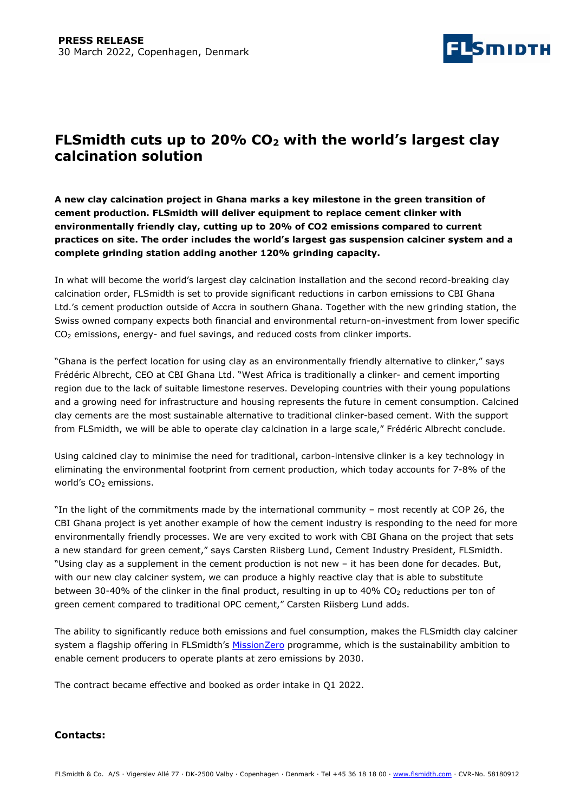

# FLSmidth cuts up to 20%  $CO<sub>2</sub>$  with the world's largest clay calcination solution

A new clay calcination project in Ghana marks a key milestone in the green transition of cement production. FLSmidth will deliver equipment to replace cement clinker with environmentally friendly clay, cutting up to 20% of CO2 emissions compared to current practices on site. The order includes the world's largest gas suspension calciner system and a complete grinding station adding another 120% grinding capacity.

In what will become the world's largest clay calcination installation and the second record-breaking clay calcination order, FLSmidth is set to provide significant reductions in carbon emissions to CBI Ghana Ltd.'s cement production outside of Accra in southern Ghana. Together with the new grinding station, the Swiss owned company expects both financial and environmental return-on-investment from lower specific CO2 emissions, energy- and fuel savings, and reduced costs from clinker imports.

"Ghana is the perfect location for using clay as an environmentally friendly alternative to clinker," says Frédéric Albrecht, CEO at CBI Ghana Ltd. "West Africa is traditionally a clinker- and cement importing region due to the lack of suitable limestone reserves. Developing countries with their young populations and a growing need for infrastructure and housing represents the future in cement consumption. Calcined clay cements are the most sustainable alternative to traditional clinker-based cement. With the support from FLSmidth, we will be able to operate clay calcination in a large scale," Frédéric Albrecht conclude.

Using calcined clay to minimise the need for traditional, carbon-intensive clinker is a key technology in eliminating the environmental footprint from cement production, which today accounts for 7-8% of the world's  $CO<sub>2</sub>$  emissions.

"In the light of the commitments made by the international community – most recently at COP 26, the CBI Ghana project is yet another example of how the cement industry is responding to the need for more environmentally friendly processes. We are very excited to work with CBI Ghana on the project that sets a new standard for green cement," says Carsten Riisberg Lund, Cement Industry President, FLSmidth. "Using clay as a supplement in the cement production is not new – it has been done for decades. But, with our new clay calciner system, we can produce a highly reactive clay that is able to substitute between 30-40% of the clinker in the final product, resulting in up to 40% CO<sub>2</sub> reductions per ton of green cement compared to traditional OPC cement," Carsten Riisberg Lund adds.

The ability to significantly reduce both emissions and fuel consumption, makes the FLSmidth clay calciner system a flagship offering in FLSmidth's MissionZero programme, which is the sustainability ambition to enable cement producers to operate plants at zero emissions by 2030.

The contract became effective and booked as order intake in Q1 2022.

# Contacts: